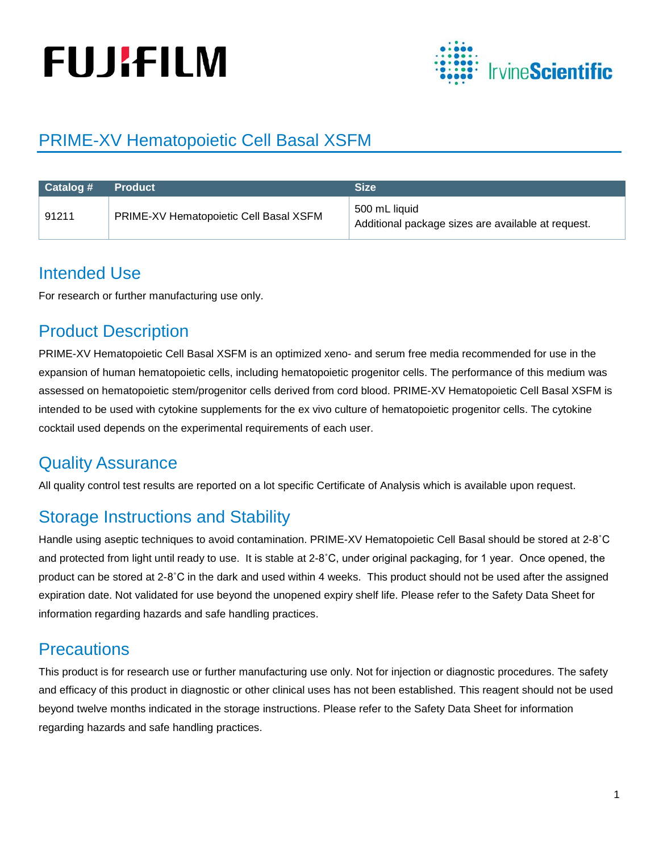# **FUJIFILM**



## PRIME-XV Hematopoietic Cell Basal XSFM

| $\blacksquare$ Catalog # | <b>Product</b>                         | <b>Size</b>                                                         |
|--------------------------|----------------------------------------|---------------------------------------------------------------------|
| 91211                    | PRIME-XV Hematopoietic Cell Basal XSFM | 500 mL liquid<br>Additional package sizes are available at request. |

#### Intended Use

For research or further manufacturing use only.

#### Product Description

PRIME-XV Hematopoietic Cell Basal XSFM is an optimized xeno- and serum free media recommended for use in the expansion of human hematopoietic cells, including hematopoietic progenitor cells. The performance of this medium was assessed on hematopoietic stem/progenitor cells derived from cord blood. PRIME-XV Hematopoietic Cell Basal XSFM is intended to be used with cytokine supplements for the ex vivo culture of hematopoietic progenitor cells. The cytokine cocktail used depends on the experimental requirements of each user.

#### Quality Assurance

All quality control test results are reported on a lot specific Certificate of Analysis which is available upon request.

#### Storage Instructions and Stability

Handle using aseptic techniques to avoid contamination. PRIME-XV Hematopoietic Cell Basal should be stored at 2-8˚C and protected from light until ready to use. It is stable at 2-8˚C, under original packaging, for 1 year. Once opened, the product can be stored at 2-8˚C in the dark and used within 4 weeks. This product should not be used after the assigned expiration date. Not validated for use beyond the unopened expiry shelf life. Please refer to the Safety Data Sheet for information regarding hazards and safe handling practices.

#### **Precautions**

This product is for research use or further manufacturing use only. Not for injection or diagnostic procedures. The safety and efficacy of this product in diagnostic or other clinical uses has not been established. This reagent should not be used beyond twelve months indicated in the storage instructions. Please refer to the Safety Data Sheet for information regarding hazards and safe handling practices.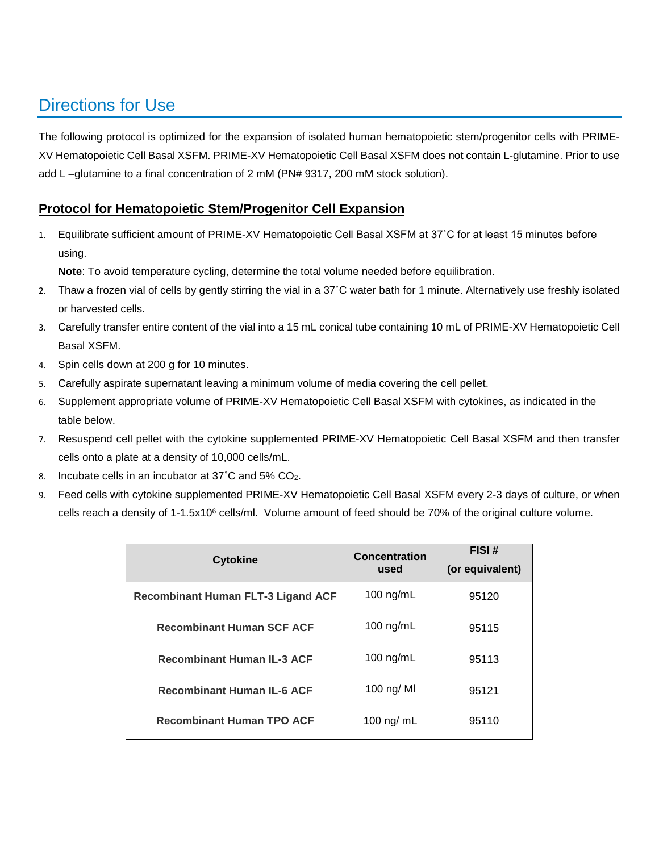### Directions for Use

The following protocol is optimized for the expansion of isolated human hematopoietic stem/progenitor cells with PRIME-XV Hematopoietic Cell Basal XSFM. PRIME-XV Hematopoietic Cell Basal XSFM does not contain L-glutamine. Prior to use add L –glutamine to a final concentration of 2 mM (PN# 9317, 200 mM stock solution).

#### **Protocol for Hematopoietic Stem/Progenitor Cell Expansion**

1. Equilibrate sufficient amount of PRIME-XV Hematopoietic Cell Basal XSFM at 37˚C for at least 15 minutes before using.

**Note**: To avoid temperature cycling, determine the total volume needed before equilibration.

- 2. Thaw a frozen vial of cells by gently stirring the vial in a 37˚C water bath for 1 minute. Alternatively use freshly isolated or harvested cells.
- 3. Carefully transfer entire content of the vial into a 15 mL conical tube containing 10 mL of PRIME-XV Hematopoietic Cell Basal XSFM.
- 4. Spin cells down at 200 g for 10 minutes.
- 5. Carefully aspirate supernatant leaving a minimum volume of media covering the cell pellet.
- 6. Supplement appropriate volume of PRIME-XV Hematopoietic Cell Basal XSFM with cytokines, as indicated in the table below.
- 7. Resuspend cell pellet with the cytokine supplemented PRIME-XV Hematopoietic Cell Basal XSFM and then transfer cells onto a plate at a density of 10,000 cells/mL.
- 8. Incubate cells in an incubator at 37°C and 5% CO<sub>2</sub>.
- 9. Feed cells with cytokine supplemented PRIME-XV Hematopoietic Cell Basal XSFM every 2-3 days of culture, or when cells reach a density of 1-1.5x10<sup>6</sup> cells/ml. Volume amount of feed should be 70% of the original culture volume.

| <b>Cytokine</b>                           | <b>Concentration</b><br>used | FISI#<br>(or equivalent) |
|-------------------------------------------|------------------------------|--------------------------|
| <b>Recombinant Human FLT-3 Ligand ACF</b> | 100 $ng/mL$                  | 95120                    |
| <b>Recombinant Human SCF ACF</b>          | 100 $ng/mL$                  | 95115                    |
| <b>Recombinant Human IL-3 ACF</b>         | 100 $ng/mL$                  | 95113                    |
| <b>Recombinant Human IL-6 ACF</b>         | 100 ng/ MI                   | 95121                    |
| <b>Recombinant Human TPO ACF</b>          | 100 ng/ $mL$                 | 95110                    |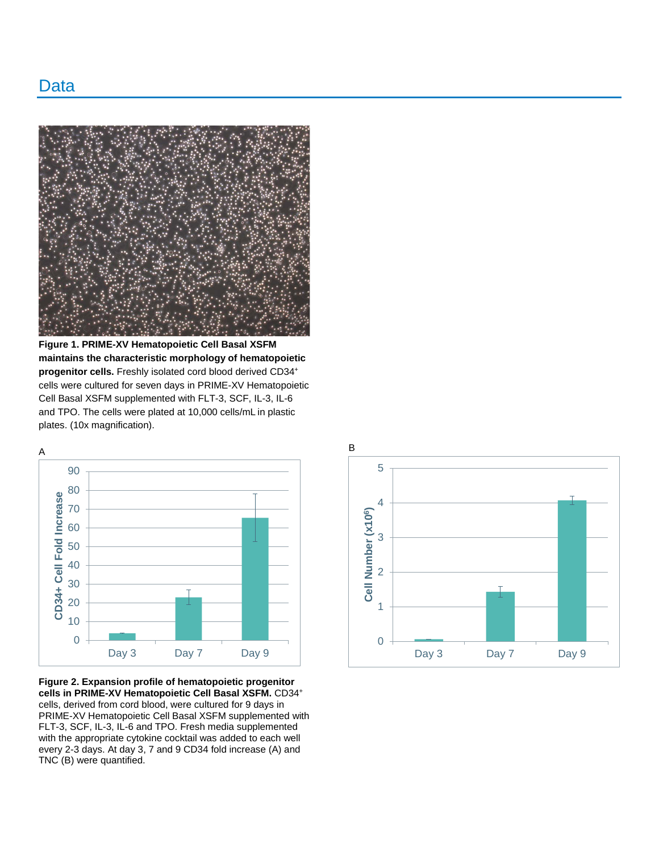

**Figure 1. PRIME-XV Hematopoietic Cell Basal XSFM maintains the characteristic morphology of hematopoietic progenitor cells.** Freshly isolated cord blood derived CD34+ cells were cultured for seven days in PRIME-XV Hematopoietic Cell Basal XSFM supplemented with FLT-3, SCF, IL-3, IL-6 and TPO. The cells were plated at 10,000 cells/mL in plastic plates. (10x magnification).



**Figure 2. Expansion profile of hematopoietic progenitor cells in PRIME-XV Hematopoietic Cell Basal XSFM.** CD34+ cells, derived from cord blood, were cultured for 9 days in PRIME-XV Hematopoietic Cell Basal XSFM supplemented with FLT-3, SCF, IL-3, IL-6 and TPO. Fresh media supplemented with the appropriate cytokine cocktail was added to each well every 2-3 days. At day 3, 7 and 9 CD34 fold increase (A) and TNC (B) were quantified.

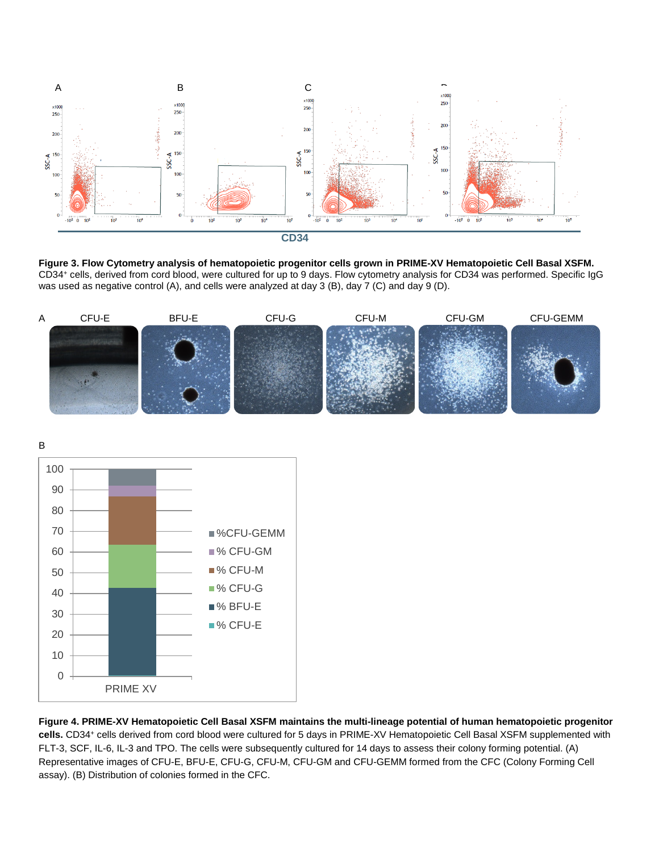

**Figure 3. Flow Cytometry analysis of hematopoietic progenitor cells grown in PRIME-XV Hematopoietic Cell Basal XSFM.**  CD34+ cells, derived from cord blood, were cultured for up to 9 days. Flow cytometry analysis for CD34 was performed. Specific IgG was used as negative control (A), and cells were analyzed at day 3 (B), day 7 (C) and day 9 (D).



B



**Figure 4. PRIME-XV Hematopoietic Cell Basal XSFM maintains the multi-lineage potential of human hematopoietic progenitor cells.** CD34+ cells derived from cord blood were cultured for 5 days in PRIME-XV Hematopoietic Cell Basal XSFM supplemented with FLT-3, SCF, IL-6, IL-3 and TPO. The cells were subsequently cultured for 14 days to assess their colony forming potential. (A) Representative images of CFU-E, BFU-E, CFU-G, CFU-M, CFU-GM and CFU-GEMM formed from the CFC (Colony Forming Cell assay). (B) Distribution of colonies formed in the CFC.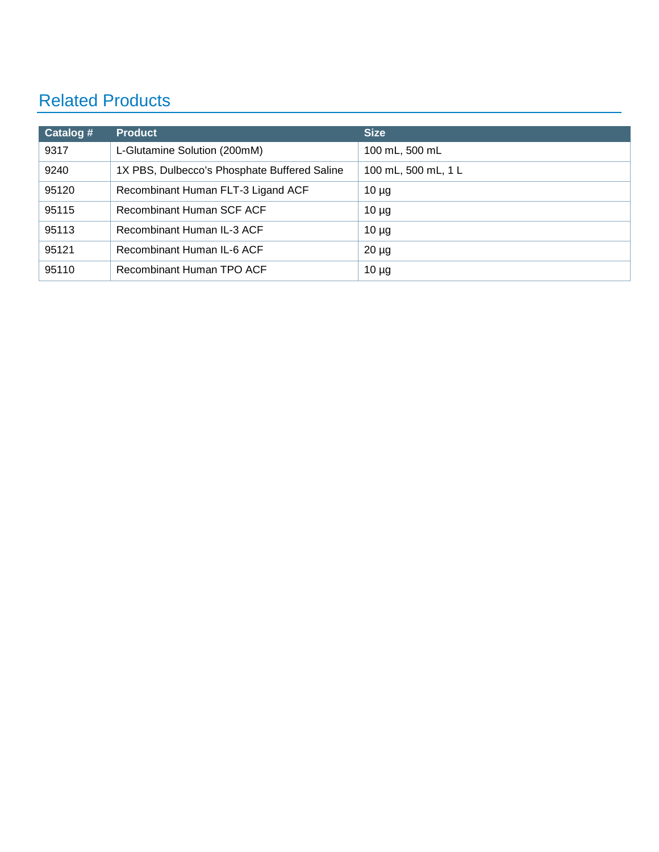## Related Products

| Catalog # | <b>Product</b>                               | <b>Size</b>         |
|-----------|----------------------------------------------|---------------------|
| 9317      | L-Glutamine Solution (200mM)                 | 100 mL, 500 mL      |
| 9240      | 1X PBS, Dulbecco's Phosphate Buffered Saline | 100 mL, 500 mL, 1 L |
| 95120     | Recombinant Human FLT-3 Ligand ACF           | $10 \mu g$          |
| 95115     | Recombinant Human SCF ACF                    | $10 \mu g$          |
| 95113     | Recombinant Human IL-3 ACF                   | $10 \mu g$          |
| 95121     | Recombinant Human IL-6 ACF                   | $20 \mu g$          |
| 95110     | Recombinant Human TPO ACF                    | $10 \mu g$          |